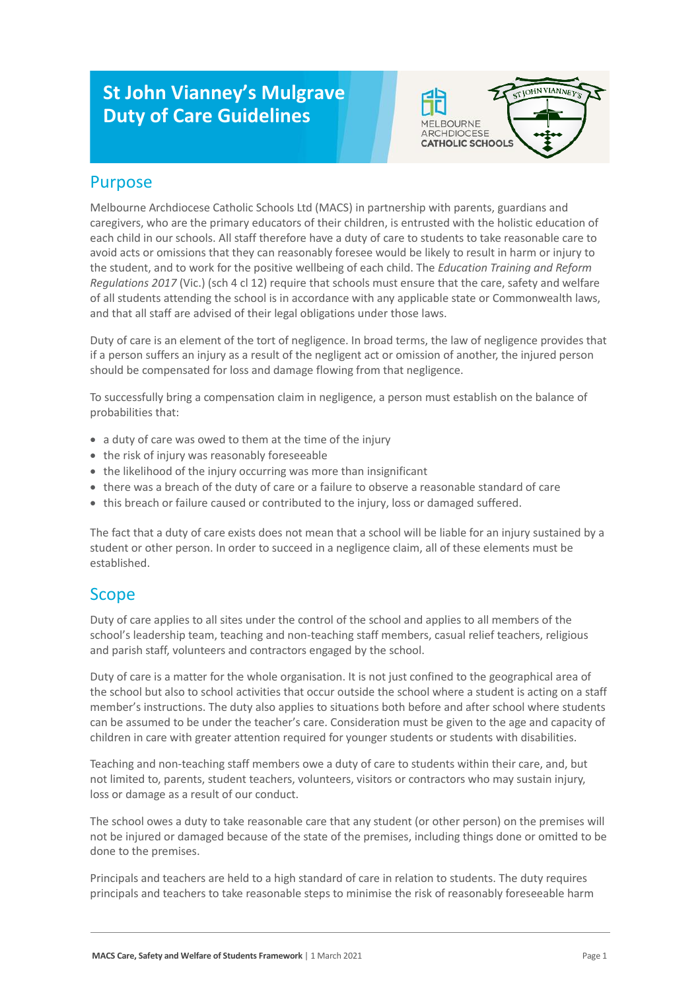# **St John Vianney's Mulgrave Duty of Care Guidelines**



#### Purpose

Melbourne Archdiocese Catholic Schools Ltd (MACS) in partnership with parents, guardians and caregivers, who are the primary educators of their children, is entrusted with the holistic education of each child in our schools. All staff therefore have a duty of care to students to take reasonable care to avoid acts or omissions that they can reasonably foresee would be likely to result in harm or injury to the student, and to work for the positive wellbeing of each child. The *Education Training and Reform Regulations 2017* (Vic.) (sch 4 cl 12) require that schools must ensure that the care, safety and welfare of all students attending the school is in accordance with any applicable state or Commonwealth laws, and that all staff are advised of their legal obligations under those laws.

Duty of care is an element of the tort of negligence. In broad terms, the law of negligence provides that if a person suffers an injury as a result of the negligent act or omission of another, the injured person should be compensated for loss and damage flowing from that negligence.

To successfully bring a compensation claim in negligence, a person must establish on the balance of probabilities that:

- a duty of care was owed to them at the time of the injury
- the risk of injury was reasonably foreseeable
- the likelihood of the injury occurring was more than insignificant
- there was a breach of the duty of care or a failure to observe a reasonable standard of care
- this breach or failure caused or contributed to the injury, loss or damaged suffered.

The fact that a duty of care exists does not mean that a school will be liable for an injury sustained by a student or other person. In order to succeed in a negligence claim, all of these elements must be established.

#### Scope

Duty of care applies to all sites under the control of the school and applies to all members of the school's leadership team, teaching and non-teaching staff members, casual relief teachers, religious and parish staff, volunteers and contractors engaged by the school.

Duty of care is a matter for the whole organisation. It is not just confined to the geographical area of the school but also to school activities that occur outside the school where a student is acting on a staff member's instructions. The duty also applies to situations both before and after school where students can be assumed to be under the teacher's care. Consideration must be given to the age and capacity of children in care with greater attention required for younger students or students with disabilities.

Teaching and non-teaching staff members owe a duty of care to students within their care, and, but not limited to, parents, student teachers, volunteers, visitors or contractors who may sustain injury, loss or damage as a result of our conduct.

The school owes a duty to take reasonable care that any student (or other person) on the premises will not be injured or damaged because of the state of the premises, including things done or omitted to be done to the premises.

Principals and teachers are held to a high standard of care in relation to students. The duty requires principals and teachers to take reasonable steps to minimise the risk of reasonably foreseeable harm